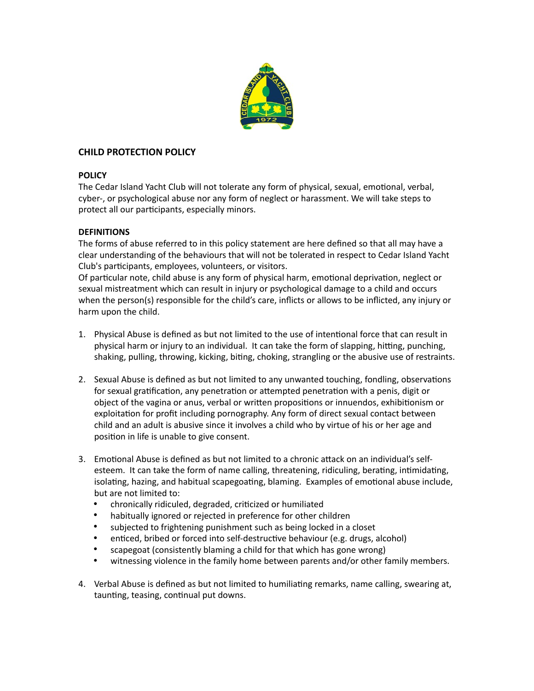

# **CHILD PROTECTION POLICY**

### **POLICY**

The Cedar Island Yacht Club will not tolerate any form of physical, sexual, emotional, verbal, cyber-, or psychological abuse nor any form of neglect or harassment. We will take steps to protect all our participants, especially minors.

## **DEFINITIONS**

The forms of abuse referred to in this policy statement are here defined so that all may have a clear understanding of the behaviours that will not be tolerated in respect to Cedar Island Yacht Club's participants, employees, volunteers, or visitors.

Of particular note, child abuse is any form of physical harm, emotional deprivation, neglect or sexual mistreatment which can result in injury or psychological damage to a child and occurs when the person(s) responsible for the child's care, inflicts or allows to be inflicted, any injury or harm upon the child.

- 1. Physical Abuse is defined as but not limited to the use of intentional force that can result in physical harm or injury to an individual. It can take the form of slapping, hitting, punching, shaking, pulling, throwing, kicking, biting, choking, strangling or the abusive use of restraints.
- 2. Sexual Abuse is defined as but not limited to any unwanted touching, fondling, observations for sexual gratification, any penetration or attempted penetration with a penis, digit or object of the vagina or anus, verbal or written propositions or innuendos, exhibitionism or exploitation for profit including pornography. Any form of direct sexual contact between child and an adult is abusive since it involves a child who by virtue of his or her age and position in life is unable to give consent.
- 3. Emotional Abuse is defined as but not limited to a chronic attack on an individual's selfesteem. It can take the form of name calling, threatening, ridiculing, berating, intimidating, isolating, hazing, and habitual scapegoating, blaming. Examples of emotional abuse include, but are not limited to:
	- chronically ridiculed, degraded, criticized or humiliated
	- habitually ignored or rejected in preference for other children
	- subjected to frightening punishment such as being locked in a closet
	- enticed, bribed or forced into self-destructive behaviour (e.g. drugs, alcohol)
	- scapegoat (consistently blaming a child for that which has gone wrong)
	- witnessing violence in the family home between parents and/or other family members.
- 4. Verbal Abuse is defined as but not limited to humiliating remarks, name calling, swearing at, taunting, teasing, continual put downs.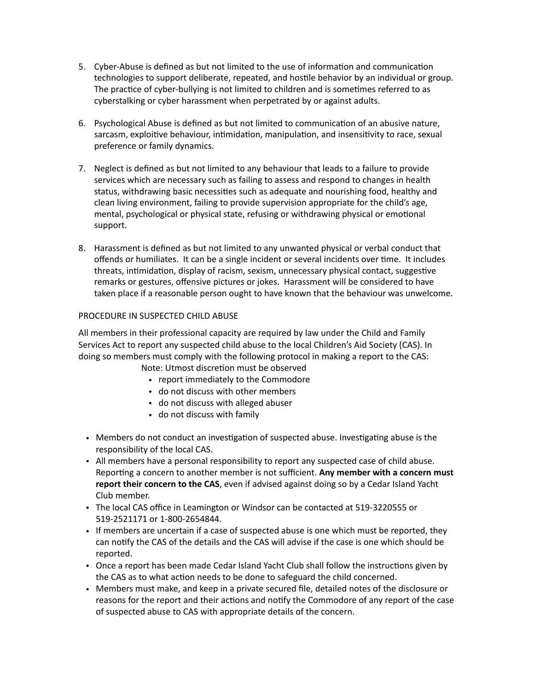- 5. Cyber-Abuse is defined as but not limited to the use of information and communication technologies to support deliberate, repeated, and hostile behavior by an individual or group. The practice of cyber-bullying is not limited to children and is sometimes referred to as cyberstalking or cyber harassment when perpetrated by or against adults.
- 6. Psychological Abuse is defined as but not limited to communication of an abusive nature, sarcasm, exploitive behaviour, intimidation, manipulation, and insensitivity to race, sexual preference or family dynamics.
- 7. Neglect is defined as but not limited to any behaviour that leads to a failure to provide services which are necessary such as failing to assess and respond to changes in health status, withdrawing basic necessities such as adequate and nourishing food, healthy and clean living environment, failing to provide supervision appropriate for the child's age, mental, psychological or physical state, refusing or withdrawing physical or emotional support.
- 8. Harassment is defined as but not limited to any unwanted physical or verbal conduct that offends or humiliates. It can be a single incident or several incidents over time. It includes threats, intimidation, display of racism, sexism, unnecessary physical contact, suggestive remarks or gestures, offensive pictures or jokes. Harassment will be considered to have taken place if a reasonable person ought to have known that the behaviour was unwelcome.

### PROCEDURE IN SUSPECTED CHILD ABUSE

All members in their professional capacity are required by law under the Child and Family Services Act to report any suspected child abuse to the local Children's Aid Society (CAS). In doing so members must comply with the following protocol in making a report to the CAS:

- Note: Utmost discretion must be observed
	- report immediately to the Commodore
	- do not discuss with other members
	- do not discuss with alleged abuser
	- do not discuss with family
- Members do not conduct an investigation of suspected abuse. Investigating abuse is the responsibility of the local CAS.
- All members have a personal responsibility to report any suspected case of child abuse. Reporting a concern to another member is not sufficient. **Any member with a concern must report their concern to the CAS**, even if advised against doing so by a Cedar Island Yacht Club member.
- The local CAS office in Leamington or Windsor can be contacted at 519-3220555 or 519-2521171 or 1-800-2654844.
- If members are uncertain if a case of suspected abuse is one which must be reported, they can notify the CAS of the details and the CAS will advise if the case is one which should be reported.
- Once a report has been made Cedar Island Yacht Club shall follow the instructions given by the CAS as to what action needs to be done to safeguard the child concerned.
- Members must make, and keep in a private secured file, detailed notes of the disclosure or reasons for the report and their actions and notify the Commodore of any report of the case of suspected abuse to CAS with appropriate details of the concern.